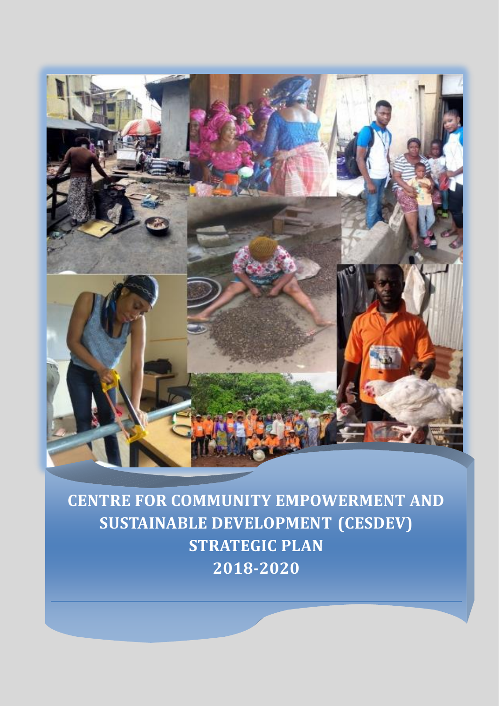

**CENTRE FOR COMMUNITY EMPOWERMENT AND SUSTAINABLE DEVELOPMENT (CESDEV) STRATEGIC PLAN 2018-2020**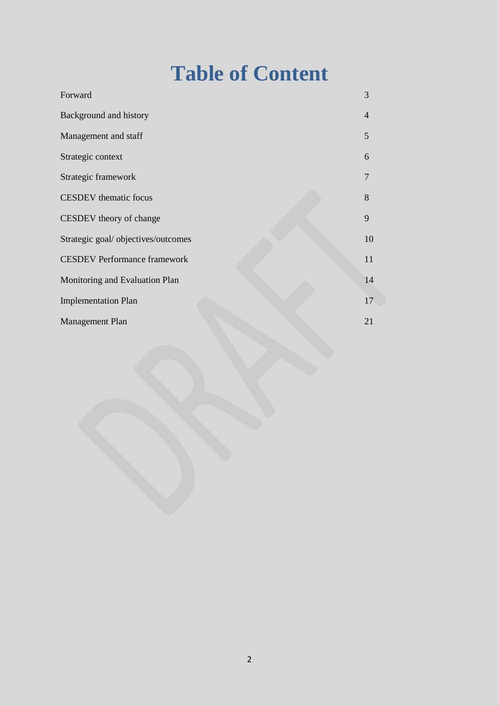# **Table of Content**

| Forward                             | 3                        |
|-------------------------------------|--------------------------|
| Background and history              | $\overline{\mathcal{A}}$ |
| Management and staff                | 5                        |
| Strategic context                   | 6                        |
| Strategic framework                 | 7                        |
| <b>CESDEV</b> thematic focus        | 8                        |
| CESDEV theory of change             | 9                        |
| Strategic goal/ objectives/outcomes | 10                       |
| <b>CESDEV Performance framework</b> | 11                       |
| Monitoring and Evaluation Plan      | 14                       |
| <b>Implementation Plan</b>          | 17                       |
| <b>Management Plan</b>              | 21                       |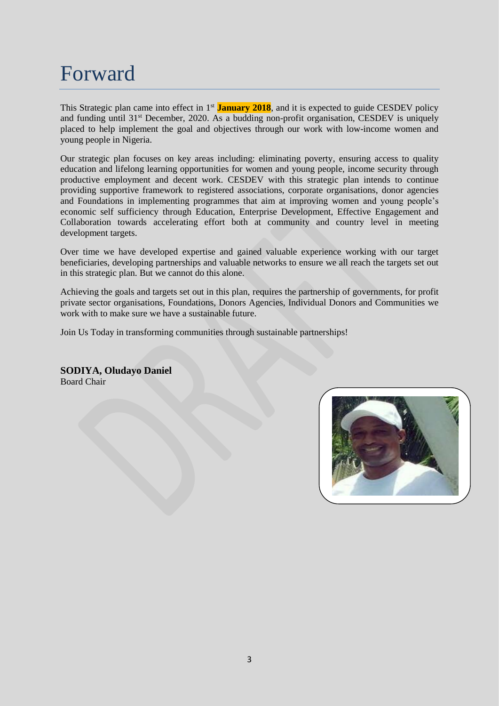### Forward

This Strategic plan came into effect in 1st **January 2018**, and it is expected to guide CESDEV policy and funding until 31<sup>st</sup> December, 2020. As a budding non-profit organisation, CESDEV is uniquely placed to help implement the goal and objectives through our work with low-income women and young people in Nigeria.

Our strategic plan focuses on key areas including: eliminating poverty, ensuring access to quality education and lifelong learning opportunities for women and young people, income security through productive employment and decent work. CESDEV with this strategic plan intends to continue providing supportive framework to registered associations, corporate organisations, donor agencies and Foundations in implementing programmes that aim at improving women and young people's economic self sufficiency through Education, Enterprise Development, Effective Engagement and Collaboration towards accelerating effort both at community and country level in meeting development targets.

Over time we have developed expertise and gained valuable experience working with our target beneficiaries, developing partnerships and valuable networks to ensure we all reach the targets set out in this strategic plan. But we cannot do this alone.

Achieving the goals and targets set out in this plan, requires the partnership of governments, for profit private sector organisations, Foundations, Donors Agencies, Individual Donors and Communities we work with to make sure we have a sustainable future.

Join Us Today in transforming communities through sustainable partnerships!

**SODIYA, Oludayo Daniel**  Board Chair

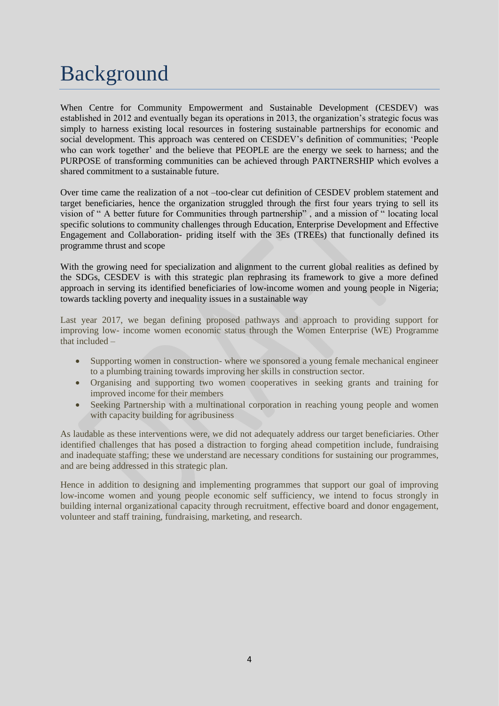## Background

When Centre for Community Empowerment and Sustainable Development (CESDEV) was established in 2012 and eventually began its operations in 2013, the organization's strategic focus was simply to harness existing local resources in fostering sustainable partnerships for economic and social development. This approach was centered on CESDEV's definition of communities; 'People who can work together' and the believe that PEOPLE are the energy we seek to harness; and the PURPOSE of transforming communities can be achieved through PARTNERSHIP which evolves a shared commitment to a sustainable future.

Over time came the realization of a not –too-clear cut definition of CESDEV problem statement and target beneficiaries, hence the organization struggled through the first four years trying to sell its vision of " A better future for Communities through partnership" , and a mission of " locating local specific solutions to community challenges through Education, Enterprise Development and Effective Engagement and Collaboration- priding itself with the 3Es (TREEs) that functionally defined its programme thrust and scope

With the growing need for specialization and alignment to the current global realities as defined by the SDGs, CESDEV is with this strategic plan rephrasing its framework to give a more defined approach in serving its identified beneficiaries of low-income women and young people in Nigeria; towards tackling poverty and inequality issues in a sustainable way

Last year 2017, we began defining proposed pathways and approach to providing support for improving low- income women economic status through the Women Enterprise (WE) Programme that included –

- Supporting women in construction- where we sponsored a young female mechanical engineer to a plumbing training towards improving her skills in construction sector.
- Organising and supporting two women cooperatives in seeking grants and training for improved income for their members
- Seeking Partnership with a multinational corporation in reaching young people and women with capacity building for agribusiness

As laudable as these interventions were, we did not adequately address our target beneficiaries. Other identified challenges that has posed a distraction to forging ahead competition include, fundraising and inadequate staffing; these we understand are necessary conditions for sustaining our programmes, and are being addressed in this strategic plan.

Hence in addition to designing and implementing programmes that support our goal of improving low-income women and young people economic self sufficiency, we intend to focus strongly in building internal organizational capacity through recruitment, effective board and donor engagement, volunteer and staff training, fundraising, marketing, and research.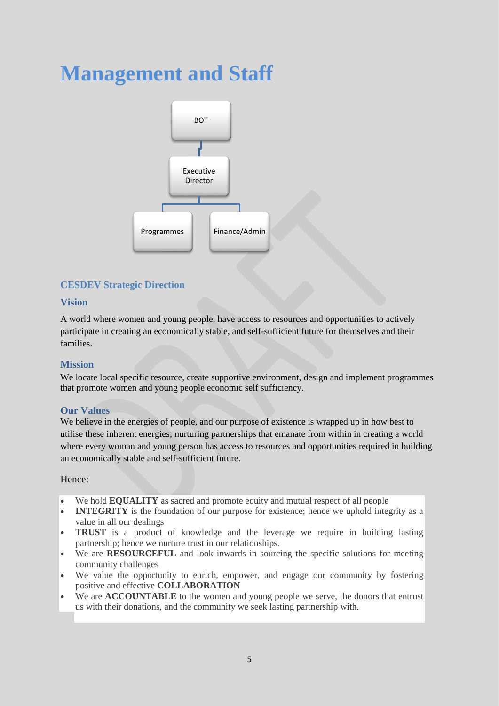## **Management and Staff**



#### **CESDEV Strategic Direction**

#### **Vision**

A world where women and young people, have access to resources and opportunities to actively participate in creating an economically stable, and self-sufficient future for themselves and their families.

#### **Mission**

We locate local specific resource, create supportive environment, design and implement programmes that promote women and young people economic self sufficiency.

#### **Our Values**

We believe in the energies of people, and our purpose of existence is wrapped up in how best to utilise these inherent energies; nurturing partnerships that emanate from within in creating a world where every woman and young person has access to resources and opportunities required in building an economically stable and self-sufficient future.

#### Hence:

- We hold **EQUALITY** as sacred and promote equity and mutual respect of all people
- **INTEGRITY** is the foundation of our purpose for existence; hence we uphold integrity as a value in all our dealings
- **TRUST** is a product of knowledge and the leverage we require in building lasting partnership; hence we nurture trust in our relationships.
- We are **RESOURCEFUL** and look inwards in sourcing the specific solutions for meeting community challenges
- We value the opportunity to enrich, empower, and engage our community by fostering positive and effective **COLLABORATION**
- We are **ACCOUNTABLE** to the women and young people we serve, the donors that entrust us with their donations, and the community we seek lasting partnership with.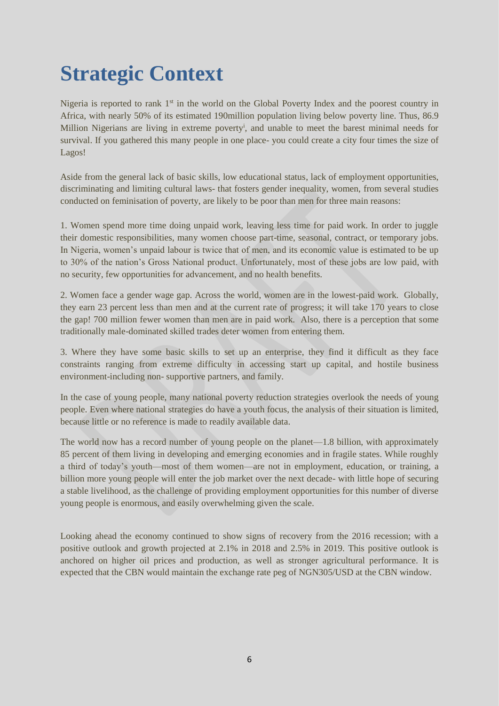## **Strategic Context**

Nigeria is reported to rank 1<sup>st</sup> in the world on the Global Poverty Index and the poorest country in Africa, with nearly 50% of its estimated 190million population living below poverty line. Thus, 86.9 Million Nigerians are living in extreme poverty<sup>i</sup>, and unable to meet the barest minimal needs for survival. If you gathered this many people in one place- you could create a city four times the size of Lagos!

Aside from the general lack of basic skills, low educational status, lack of employment opportunities, discriminating and limiting cultural laws- that fosters gender inequality, women, from several studies conducted on feminisation of poverty, are likely to be poor than men for three main reasons:

1. Women spend more time doing unpaid work, leaving less time for paid work. In order to juggle their domestic responsibilities, many women choose part-time, seasonal, contract, or temporary jobs. In Nigeria, women's unpaid labour is twice that of men, and its economic value is estimated to be up to 30% of the nation's Gross National product. Unfortunately, most of these jobs are low paid, with no security, few opportunities for advancement, and no health benefits.

2. Women face a gender wage gap. Across the world, women are in the lowest-paid work. Globally, they earn 23 percent less than men and at the current rate of progress; it will take 170 years to close the gap! 700 million fewer women than men are in paid work. Also, there is a perception that some traditionally male-dominated skilled trades deter women from entering them.

3. Where they have some basic skills to set up an enterprise, they find it difficult as they face constraints ranging from extreme difficulty in accessing start up capital, and hostile business environment-including non- supportive partners, and family.

In the case of young people, many national poverty reduction strategies overlook the needs of young people. Even where national strategies do have a youth focus, the analysis of their situation is limited, because little or no reference is made to readily available data.

The world now has a record number of young people on the planet—1.8 billion, with approximately 85 percent of them living in developing and emerging economies and in fragile states. While roughly a third of today's youth—most of them women—are not in employment, education, or training, a billion more young people will enter the job market over the next decade- with little hope of securing a stable livelihood, as the challenge of providing employment opportunities for this number of diverse young people is enormous, and easily overwhelming given the scale.

Looking ahead the economy continued to show signs of recovery from the 2016 recession; with a positive outlook and growth projected at 2.1% in 2018 and 2.5% in 2019. This positive outlook is anchored on higher oil prices and production, as well as stronger agricultural performance. It is expected that the CBN would maintain the exchange rate peg of NGN305/USD at the CBN window.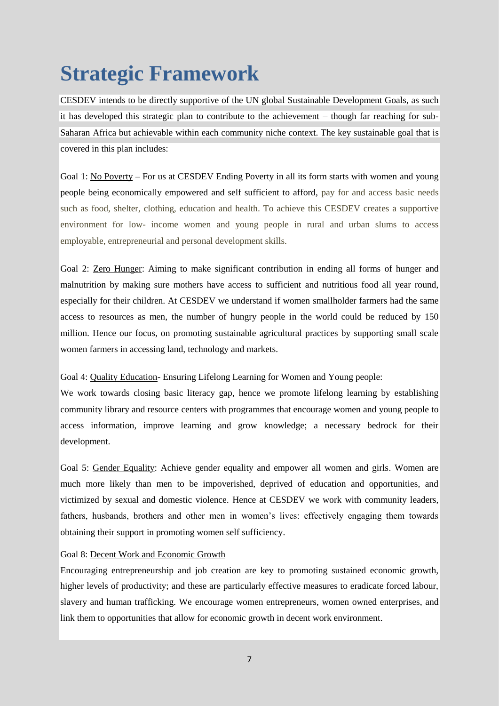# **Strategic Framework**

CESDEV intends to be directly supportive of the UN global Sustainable Development Goals, as such it has developed this strategic plan to contribute to the achievement – though far reaching for sub-Saharan Africa but achievable within each community niche context. The key sustainable goal that is covered in this plan includes:

Goal 1: No Poverty – For us at CESDEV Ending Poverty in all its form starts with women and young people being economically empowered and self sufficient to afford, pay for and access basic needs such as food, shelter, clothing, education and health. To achieve this CESDEV creates a supportive environment for low- income women and young people in rural and urban slums to access employable, entrepreneurial and personal development skills.

Goal 2: Zero Hunger: Aiming to make significant contribution in ending all forms of hunger and malnutrition by making sure mothers have access to sufficient and nutritious food all year round, especially for their children. At CESDEV we understand if women smallholder farmers had the same access to resources as men, the number of hungry people in the world could be reduced by 150 million. Hence our focus, on promoting sustainable agricultural practices by supporting small scale women farmers in accessing land, technology and markets.

Goal 4: Quality Education- Ensuring Lifelong Learning for Women and Young people:

We work towards closing basic literacy gap, hence we promote lifelong learning by establishing community library and resource centers with programmes that encourage women and young people to access information, improve learning and grow knowledge; a necessary bedrock for their development.

Goal 5: Gender Equality: Achieve gender equality and empower all women and girls. Women are much more likely than men to be impoverished, deprived of education and opportunities, and victimized by sexual and domestic violence. Hence at CESDEV we work with community leaders, fathers, husbands, brothers and other men in women's lives: effectively engaging them towards obtaining their support in promoting women self sufficiency.

Goal 8: Decent Work and Economic Growth

Encouraging entrepreneurship and job creation are key to promoting sustained economic growth, higher levels of productivity; and these are particularly effective measures to eradicate forced labour, slavery and human trafficking. We encourage women entrepreneurs, women owned enterprises, and link them to opportunities that allow for economic growth in decent work environment.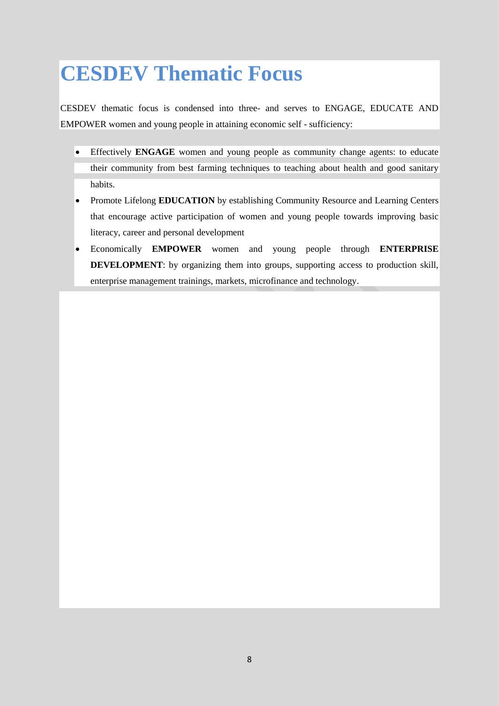## **CESDEV Thematic Focus**

CESDEV thematic focus is condensed into three- and serves to ENGAGE, EDUCATE AND EMPOWER women and young people in attaining economic self - sufficiency:

- Effectively **ENGAGE** women and young people as community change agents: to educate their community from best farming techniques to teaching about health and good sanitary habits.
- Promote Lifelong **EDUCATION** by establishing Community Resource and Learning Centers that encourage active participation of women and young people towards improving basic literacy, career and personal development
- Economically **EMPOWER** women and young people through **ENTERPRISE DEVELOPMENT**: by organizing them into groups, supporting access to production skill, enterprise management trainings, markets, microfinance and technology.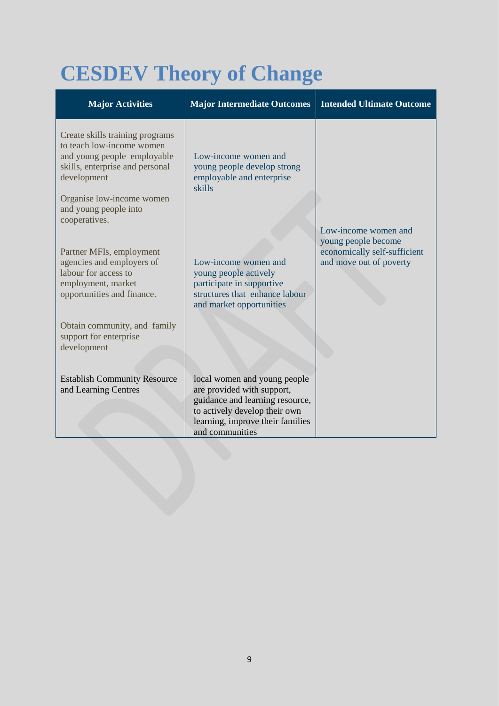# **CESDEV Theory of Change**

| <b>Major Activities</b>                                                                                                                                                                                              | <b>Major Intermediate Outcomes</b>                                                                                                                                                    | <b>Intended Ultimate Outcome</b>                                                                       |
|----------------------------------------------------------------------------------------------------------------------------------------------------------------------------------------------------------------------|---------------------------------------------------------------------------------------------------------------------------------------------------------------------------------------|--------------------------------------------------------------------------------------------------------|
| Create skills training programs<br>to teach low-income women<br>and young people employable<br>skills, enterprise and personal<br>development<br>Organise low-income women<br>and young people into<br>cooperatives. | Low-income women and<br>young people develop strong<br>employable and enterprise<br>skills                                                                                            |                                                                                                        |
| Partner MFIs, employment<br>agencies and employers of<br>labour for access to<br>employment, market<br>opportunities and finance.                                                                                    | Low-income women and<br>young people actively<br>participate in supportive<br>structures that enhance labour<br>and market opportunities                                              | Low-income women and<br>young people become<br>economically self-sufficient<br>and move out of poverty |
| Obtain community, and family<br>support for enterprise<br>development                                                                                                                                                |                                                                                                                                                                                       |                                                                                                        |
| <b>Establish Community Resource</b><br>and Learning Centres                                                                                                                                                          | local women and young people<br>are provided with support,<br>guidance and learning resource,<br>to actively develop their own<br>learning, improve their families<br>and communities |                                                                                                        |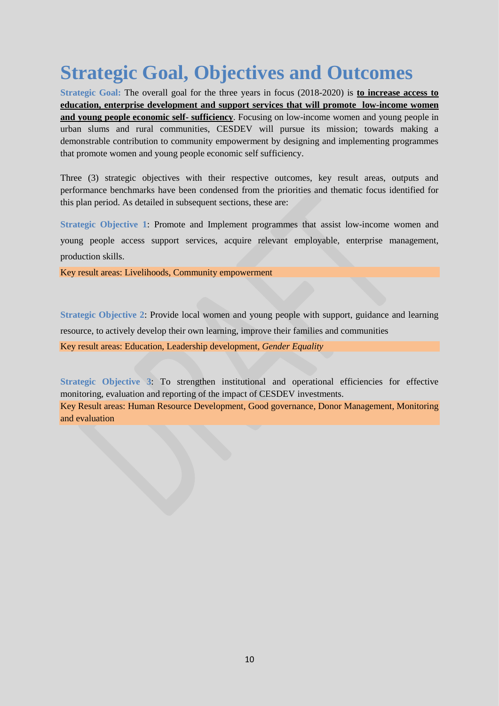## **Strategic Goal, Objectives and Outcomes**

**Strategic Goal:** The overall goal for the three years in focus (2018-2020) is **to increase access to education, enterprise development and support services that will promote low-income women and young people economic self- sufficiency**. Focusing on low-income women and young people in urban slums and rural communities, CESDEV will pursue its mission; towards making a demonstrable contribution to community empowerment by designing and implementing programmes that promote women and young people economic self sufficiency.

Three (3) strategic objectives with their respective outcomes, key result areas, outputs and performance benchmarks have been condensed from the priorities and thematic focus identified for this plan period. As detailed in subsequent sections, these are:

**Strategic Objective 1**: Promote and Implement programmes that assist low-income women and young people access support services, acquire relevant employable, enterprise management, production skills.

Key result areas: Livelihoods, Community empowerment

**Strategic Objective 2**: Provide local women and young people with support, guidance and learning resource, to actively develop their own learning, improve their families and communities

Key result areas: Education, Leadership development, *Gender Equality*

**Strategic Objective 3**: To strengthen institutional and operational efficiencies for effective monitoring, evaluation and reporting of the impact of CESDEV investments. Key Result areas: Human Resource Development, Good governance, Donor Management, Monitoring and evaluation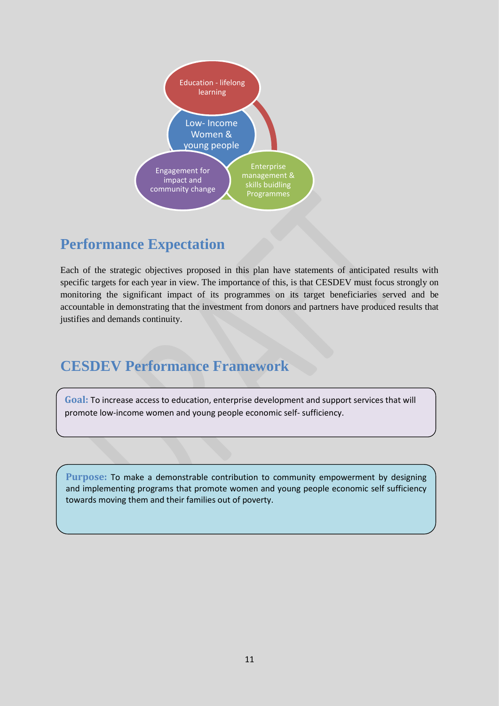

#### **Performance Expectation**

Each of the strategic objectives proposed in this plan have statements of anticipated results with specific targets for each year in view. The importance of this, is that CESDEV must focus strongly on monitoring the significant impact of its programmes on its target beneficiaries served and be accountable in demonstrating that the investment from donors and partners have produced results that justifies and demands continuity.

### **CESDEV Performance Framework**

**Goal:** To increase access to education, enterprise development and support services that will promote low-income women and young people economic self- sufficiency.

**Purpose:** To make a demonstrable contribution to community empowerment by designing and implementing programs that promote women and young people economic self sufficiency towards moving them and their families out of poverty.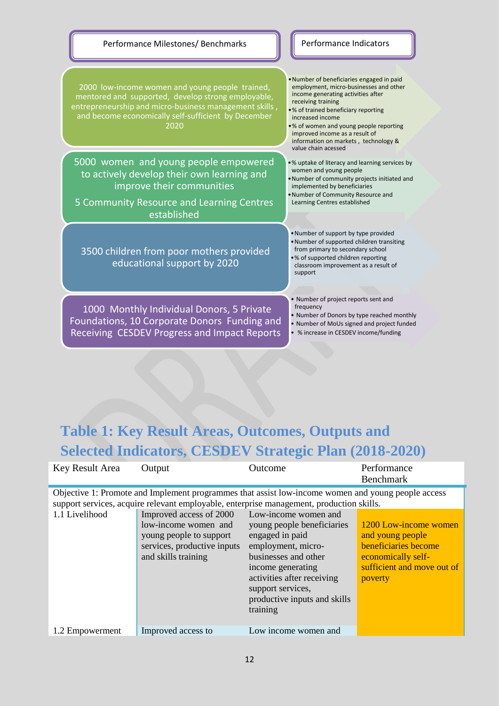

### **Table 1: Key Result Areas, Outcomes, Outputs and Selected Indicators, CESDEV Strategic Plan (2018-2020)**

| Key Result Area | Output                                                                                                                           | Outcome                                                                                                                                                                                                                                 | Performance                                                                                                                      |
|-----------------|----------------------------------------------------------------------------------------------------------------------------------|-----------------------------------------------------------------------------------------------------------------------------------------------------------------------------------------------------------------------------------------|----------------------------------------------------------------------------------------------------------------------------------|
|                 |                                                                                                                                  |                                                                                                                                                                                                                                         | <b>Benchmark</b>                                                                                                                 |
|                 |                                                                                                                                  | Objective 1: Promote and Implement programmes that assist low-income women and young people access<br>support services, acquire relevant employable, enterprise management, production skills.                                          |                                                                                                                                  |
| 1.1 Livelihood  | Improved access of 2000<br>low-income women and<br>young people to support<br>services, productive inputs<br>and skills training | Low-income women and<br>young people beneficiaries<br>engaged in paid<br>employment, micro-<br>businesses and other<br>income generating<br>activities after receiving<br>support services,<br>productive inputs and skills<br>training | 1200 Low-income women<br>and young people<br>beneficiaries become<br>economically self-<br>sufficient and move out of<br>poverty |
| 1.2 Empowerment | Improved access to                                                                                                               | Low income women and                                                                                                                                                                                                                    |                                                                                                                                  |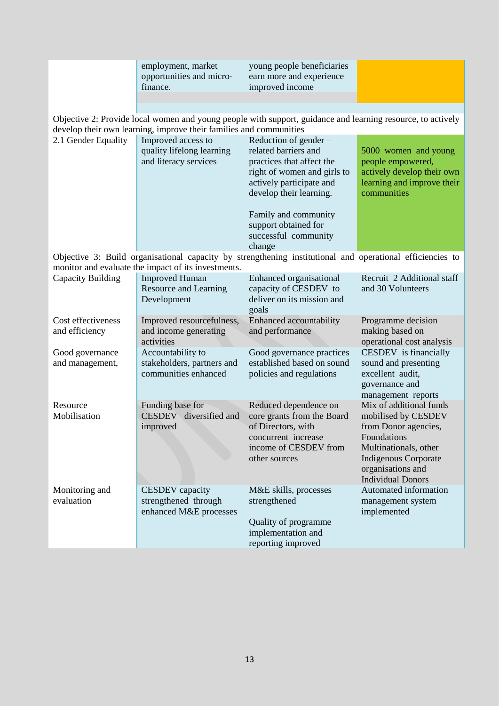|                                      | employment, market<br>opportunities and micro-<br>finance.               | young people beneficiaries<br>earn more and experience<br>improved income                                                                                                                                                                          |                                                                                                                                                                                                |
|--------------------------------------|--------------------------------------------------------------------------|----------------------------------------------------------------------------------------------------------------------------------------------------------------------------------------------------------------------------------------------------|------------------------------------------------------------------------------------------------------------------------------------------------------------------------------------------------|
|                                      | develop their own learning, improve their families and communities       | Objective 2: Provide local women and young people with support, guidance and learning resource, to actively                                                                                                                                        |                                                                                                                                                                                                |
| 2.1 Gender Equality                  | Improved access to<br>quality lifelong learning<br>and literacy services | Reduction of gender -<br>related barriers and<br>practices that affect the<br>right of women and girls to<br>actively participate and<br>develop their learning.<br>Family and community<br>support obtained for<br>successful community<br>change | 5000 women and young<br>people empowered,<br>actively develop their own<br>learning and improve their<br>communities                                                                           |
|                                      | monitor and evaluate the impact of its investments.                      | Objective 3: Build organisational capacity by strengthening institutional and operational efficiencies to                                                                                                                                          |                                                                                                                                                                                                |
| Capacity Building                    | <b>Improved Human</b><br>Resource and Learning<br>Development            | Enhanced organisational<br>capacity of CESDEV to<br>deliver on its mission and<br>goals                                                                                                                                                            | Recruit 2 Additional staff<br>and 30 Volunteers                                                                                                                                                |
| Cost effectiveness<br>and efficiency | Improved resourcefulness,<br>and income generating<br>activities         | Enhanced accountability<br>and performance                                                                                                                                                                                                         | Programme decision<br>making based on<br>operational cost analysis                                                                                                                             |
| Good governance<br>and management,   | Accountability to<br>stakeholders, partners and<br>communities enhanced  | Good governance practices<br>established based on sound<br>policies and regulations                                                                                                                                                                | CESDEV is financially<br>sound and presenting<br>excellent audit,<br>governance and<br>management reports                                                                                      |
| Resource<br>Mobilisation             | Funding base for<br>CESDEV diversified and<br>improved                   | Reduced dependence on<br>core grants from the Board<br>of Directors, with<br>concurrent increase<br>income of CESDEV from<br>other sources                                                                                                         | Mix of additional funds<br>mobilised by CESDEV<br>from Donor agencies,<br>Foundations<br>Multinationals, other<br><b>Indigenous Corporate</b><br>organisations and<br><b>Individual Donors</b> |
| Monitoring and<br>evaluation         | <b>CESDEV</b> capacity<br>strengthened through<br>enhanced M&E processes | M&E skills, processes<br>strengthened<br>Quality of programme<br>implementation and<br>reporting improved                                                                                                                                          | Automated information<br>management system<br>implemented                                                                                                                                      |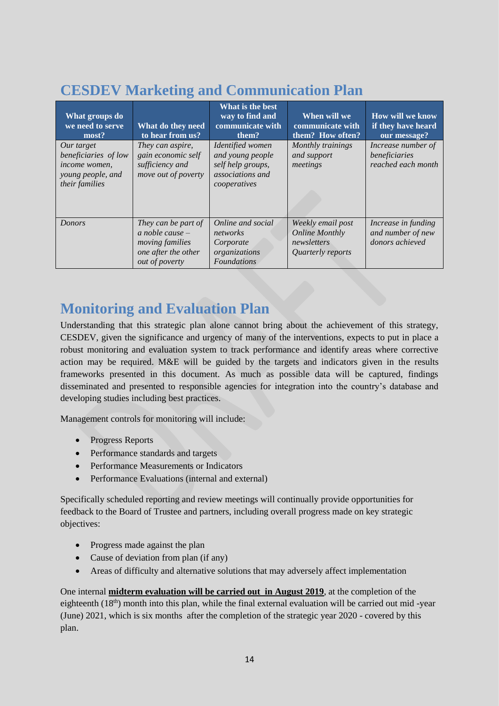### **CESDEV Marketing and Communication Plan**

| What groups do<br>we need to serve<br>most?                                                       | What do they need<br>to hear from us?                                                                       | What is the best<br>way to find and<br>communicate with<br>them?                              | When will we<br>communicate with<br>them? How often?                           | <b>How will we know</b><br>if they have heard<br>our message? |
|---------------------------------------------------------------------------------------------------|-------------------------------------------------------------------------------------------------------------|-----------------------------------------------------------------------------------------------|--------------------------------------------------------------------------------|---------------------------------------------------------------|
| Our target<br>beneficiaries of low<br>income women,<br>young people, and<br><i>their families</i> | They can aspire,<br>gain economic self<br>sufficiency and<br>move out of poverty                            | Identified women<br>and young people<br>self help groups,<br>associations and<br>cooperatives | Monthly trainings<br>and support<br>meetings                                   | Increase number of<br>beneficiaries<br>reached each month     |
| <b>Donors</b>                                                                                     | They can be part of<br>a noble cause $-$<br><i>moving families</i><br>one after the other<br>out of poverty | Online and social<br>networks<br>Corporate<br>organizations<br><b>Foundations</b>             | Weekly email post<br><b>Online Monthly</b><br>newsletters<br>Quarterly reports | Increase in funding<br>and number of new<br>donors achieved   |

### **Monitoring and Evaluation Plan**

Understanding that this strategic plan alone cannot bring about the achievement of this strategy, CESDEV, given the significance and urgency of many of the interventions, expects to put in place a robust monitoring and evaluation system to track performance and identify areas where corrective action may be required. M&E will be guided by the targets and indicators given in the results frameworks presented in this document. As much as possible data will be captured, findings disseminated and presented to responsible agencies for integration into the country's database and developing studies including best practices.

Management controls for monitoring will include:

- Progress Reports
- Performance standards and targets
- Performance Measurements or Indicators
- Performance Evaluations (internal and external)

Specifically scheduled reporting and review meetings will continually provide opportunities for feedback to the Board of Trustee and partners, including overall progress made on key strategic objectives:

- Progress made against the plan
- Cause of deviation from plan (if any)
- Areas of difficulty and alternative solutions that may adversely affect implementation

One internal **midterm evaluation will be carried out in August 2019**, at the completion of the eighteenth  $(18<sup>th</sup>)$  month into this plan, while the final external evaluation will be carried out mid -year (June) 2021, which is six months after the completion of the strategic year 2020 - covered by this plan.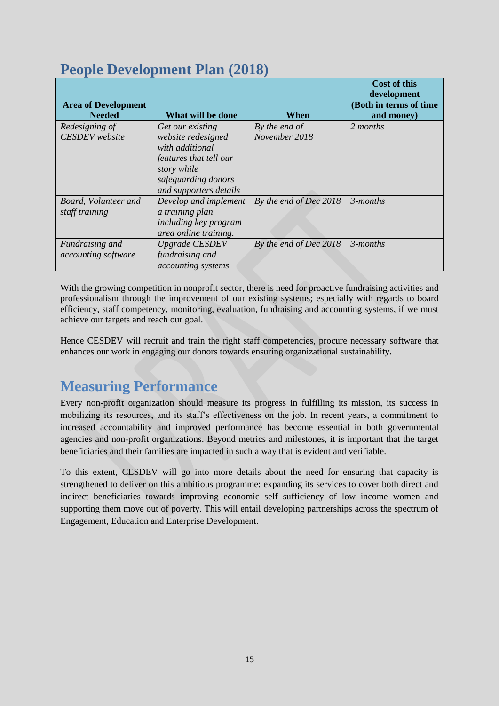| <b>People Development Plan (2018)</b> |  |
|---------------------------------------|--|

|                            |                              |                        | <b>Cost of this</b>                   |
|----------------------------|------------------------------|------------------------|---------------------------------------|
| <b>Area of Development</b> |                              |                        | development<br>(Both in terms of time |
| <b>Needed</b>              | What will be done            | When                   | and money)                            |
| Redesigning of             | Get our existing             | By the end of          | 2 months                              |
| <b>CESDEV</b> website      | website redesigned           | November 2018          |                                       |
|                            | with additional              |                        |                                       |
|                            | features that tell our       |                        |                                       |
|                            | story while                  |                        |                                       |
|                            | safeguarding donors          |                        |                                       |
|                            | and supporters details       |                        |                                       |
| Board, Volunteer and       | Develop and implement        | By the end of Dec 2018 | $3$ -months                           |
| staff training             | a training plan              |                        |                                       |
|                            | <i>including key program</i> |                        |                                       |
|                            | area online training.        |                        |                                       |
| Fundraising and            | <b>Upgrade CESDEV</b>        | By the end of Dec 2018 | $3$ -months                           |
| accounting software        | fundraising and              |                        |                                       |
|                            | accounting systems           |                        |                                       |

With the growing competition in nonprofit sector, there is need for proactive fundraising activities and professionalism through the improvement of our existing systems; especially with regards to board efficiency, staff competency, monitoring, evaluation, fundraising and accounting systems, if we must achieve our targets and reach our goal.

Hence CESDEV will recruit and train the right staff competencies, procure necessary software that enhances our work in engaging our donors towards ensuring organizational sustainability.

### **Measuring Performance**

Every non-profit organization should measure its progress in fulfilling its mission, its success in mobilizing its resources, and its staff's effectiveness on the job. In recent years, a commitment to increased accountability and improved performance has become essential in both governmental agencies and non-profit organizations. Beyond metrics and milestones, it is important that the target beneficiaries and their families are impacted in such a way that is evident and verifiable.

To this extent, CESDEV will go into more details about the need for ensuring that capacity is strengthened to deliver on this ambitious programme: expanding its services to cover both direct and indirect beneficiaries towards improving economic self sufficiency of low income women and supporting them move out of poverty. This will entail developing partnerships across the spectrum of Engagement, Education and Enterprise Development.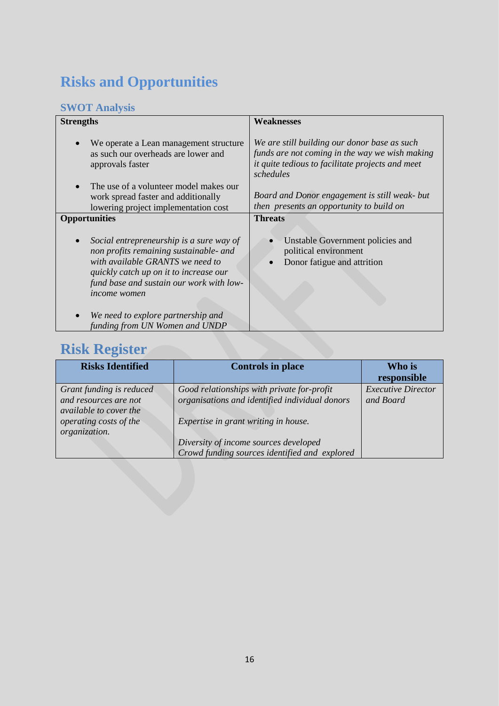### **Risks and Opportunities**

#### **SWOT Analysis**

| <b>Strengths</b>     |                                                                                                                                                                                                              | <b>Weaknesses</b>                                                                                                                                               |
|----------------------|--------------------------------------------------------------------------------------------------------------------------------------------------------------------------------------------------------------|-----------------------------------------------------------------------------------------------------------------------------------------------------------------|
| approvals faster     | We operate a Lean management structure<br>as such our overheads are lower and                                                                                                                                | We are still building our donor base as such<br>funds are not coming in the way we wish making<br>it quite tedious to facilitate projects and meet<br>schedules |
|                      | The use of a volunteer model makes our                                                                                                                                                                       |                                                                                                                                                                 |
|                      | work spread faster and additionally<br>lowering project implementation cost                                                                                                                                  | Board and Donor engagement is still weak- but<br>then presents an opportunity to build on                                                                       |
| <b>Opportunities</b> |                                                                                                                                                                                                              | <b>Threats</b>                                                                                                                                                  |
| <i>income women</i>  | Social entrepreneurship is a sure way of<br>non profits remaining sustainable- and<br>with available GRANTS we need to<br>quickly catch up on it to increase our<br>fund base and sustain our work with low- | Unstable Government policies and<br>political environment<br>Donor fatigue and attrition                                                                        |
|                      | We need to explore partnership and<br>funding from UN Women and UNDP                                                                                                                                         |                                                                                                                                                                 |

### **Risk Register**

| <b>Risks Identified</b>  | <b>Controls in place</b>                       | Who is                    |
|--------------------------|------------------------------------------------|---------------------------|
|                          |                                                | responsible               |
| Grant funding is reduced | Good relationships with private for-profit     | <b>Executive Director</b> |
| and resources are not    | organisations and identified individual donors | and Board                 |
| available to cover the   |                                                |                           |
| operating costs of the   | Expertise in grant writing in house.           |                           |
| organization.            |                                                |                           |
|                          | Diversity of income sources developed          |                           |
|                          | Crowd funding sources identified and explored  |                           |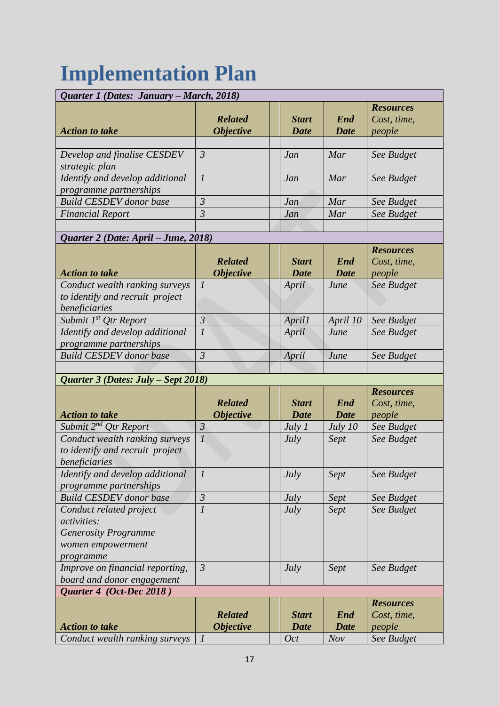# **Implementation Plan**

| Quarter 1 (Dates: January – March, 2018)                                                                       |                                                                   |                                      |                                   |                                                         |
|----------------------------------------------------------------------------------------------------------------|-------------------------------------------------------------------|--------------------------------------|-----------------------------------|---------------------------------------------------------|
| <b>Action to take</b>                                                                                          | <b>Related</b><br><i><b>Objective</b></i>                         | <b>Start</b><br><b>Date</b>          | End<br><b>Date</b>                | <b>Resources</b><br>Cost, time,<br>people               |
| Develop and finalise CESDEV<br>strategic plan                                                                  | $\mathfrak{Z}$                                                    | Jan                                  | Mar                               | See Budget                                              |
| Identify and develop additional<br>programme partnerships                                                      | $\mathcal{I}_{\mathcal{I}}$                                       | Jan                                  | Mar                               | See Budget                                              |
| <b>Build CESDEV</b> donor base                                                                                 | $\mathfrak{Z}$                                                    | Jan                                  | Mar                               | See Budget                                              |
| <b>Financial Report</b>                                                                                        | $\overline{3}$                                                    | Jan                                  | Mar                               | See Budget                                              |
| Quarter 2 (Date: April – June, 2018)                                                                           |                                                                   |                                      |                                   |                                                         |
| <b>Action to take</b><br>Conduct wealth ranking surveys<br>to identify and recruit project                     | <b>Related</b><br><b>Objective</b><br>$\mathcal{I}_{\mathcal{I}}$ | <b>Start</b><br><b>Date</b><br>April | <b>End</b><br><b>Date</b><br>June | <b>Resources</b><br>Cost, time,<br>people<br>See Budget |
| beneficiaries<br>Submit 1 <sup>st</sup> Qtr Report                                                             | $\mathfrak{Z}$                                                    | <b>April1</b>                        | April 10                          | See Budget                                              |
| Identify and develop additional<br>programme partnerships                                                      | $\overline{l}$                                                    | April                                | June                              | See Budget                                              |
| <b>Build CESDEV</b> donor base                                                                                 | $\overline{3}$                                                    | April                                | June                              | See Budget                                              |
|                                                                                                                |                                                                   |                                      |                                   |                                                         |
| Quarter 3 (Dates: July – Sept 2018)<br><b>Action to take</b>                                                   | <b>Related</b><br><b>Objective</b>                                | <b>Start</b><br><b>Date</b>          | End<br><b>Date</b>                | <b>Resources</b><br>Cost, time,<br>people               |
| Submit 2 <sup>nd</sup> Qtr Report                                                                              | $\mathfrak{Z}$                                                    | July 1                               | July 10                           | See Budget                                              |
| Conduct wealth ranking surveys<br>to identify and recruit project<br>beneficiaries                             | $\mathcal{I}_{\mathcal{I}}$                                       | July                                 | Sept                              | See Budget                                              |
| Identify and develop additional<br><i>programme partnerships</i>                                               | $\mathcal{I}$                                                     | July                                 | Sept                              | See Budget                                              |
| <b>Build CESDEV</b> donor base                                                                                 | $\mathfrak{Z}$                                                    | July                                 | Sept                              | See Budget                                              |
| Conduct related project<br><i>activities:</i><br><b>Generosity Programme</b><br>women empowerment<br>programme | $\boldsymbol{l}$                                                  | <b>July</b>                          | Sept                              | See Budget                                              |
| Improve on financial reporting,<br>board and donor engagement                                                  | $\mathfrak{Z}$                                                    | <i>July</i>                          | Sept                              | See Budget                                              |
| Quarter 4 (Oct-Dec 2018)                                                                                       |                                                                   |                                      |                                   |                                                         |
| <b>Action to take</b>                                                                                          | <b>Related</b><br><i><b>Objective</b></i>                         | <b>Start</b><br><b>Date</b>          | <b>End</b><br><b>Date</b>         | <b>Resources</b><br>Cost, time,<br>people               |
| Conduct wealth ranking surveys                                                                                 | $\mathcal{I}_{\mathcal{I}}$                                       | <i>Oct</i>                           | Nov                               | See Budget                                              |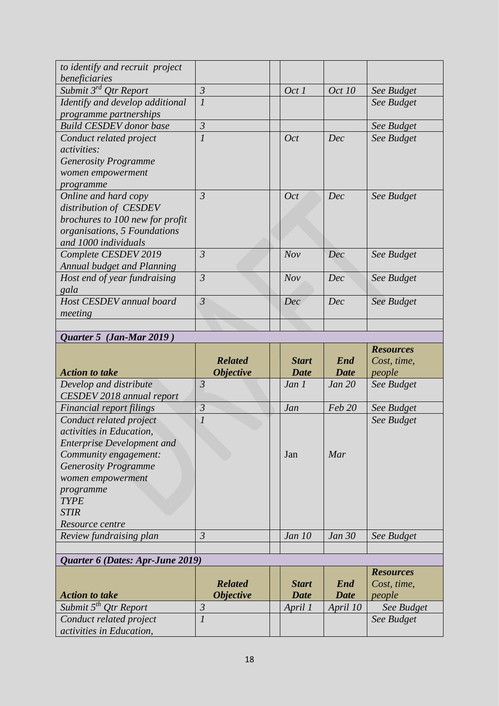| to identify and recruit project   |                             |       |               |            |
|-----------------------------------|-----------------------------|-------|---------------|------------|
| beneficiaries                     |                             |       |               |            |
| Submit 3 <sup>rd</sup> Qtr Report | $\mathfrak{Z}$              | Oct 1 | <i>Oct 10</i> | See Budget |
| Identify and develop additional   | $\overline{l}$              |       |               | See Budget |
| programme partnerships            |                             |       |               |            |
| <b>Build CESDEV</b> donor base    | $\mathfrak{Z}$              |       |               | See Budget |
| Conduct related project           | $\mathcal{I}_{\mathcal{I}}$ | Oct   | Dec           | See Budget |
| <i>activities:</i>                |                             |       |               |            |
| <b>Generosity Programme</b>       |                             |       |               |            |
| women empowerment                 |                             |       |               |            |
| programme                         |                             |       |               |            |
| Online and hard copy              | $\overline{3}$              | Oct   | Dec           | See Budget |
| distribution of CESDEV            |                             |       |               |            |
| brochures to 100 new for profit   |                             |       |               |            |
| organisations, 5 Foundations      |                             |       |               |            |
| and 1000 individuals              |                             |       |               |            |
| Complete CESDEV 2019              | $\mathfrak{Z}$              | Nov   | Dec           | See Budget |
| Annual budget and Planning        |                             |       |               |            |
| Host end of year fundraising      | $\mathfrak{Z}$              | Nov   | Dec           | See Budget |
| gala                              |                             |       |               |            |
| Host CESDEV annual board          | $\overline{3}$              | Dec   | Dec           | See Budget |
| meeting                           |                             |       |               |            |
|                                   |                             |       |               |            |

#### *Quarter 5 (Jan-Mar 2019 )*

|                                   |                         |               |             | <b>Resources</b> |
|-----------------------------------|-------------------------|---------------|-------------|------------------|
|                                   | <b>Related</b>          | <b>Start</b>  | End         | Cost, time,      |
| <b>Action to take</b>             | <b>Objective</b>        | <b>Date</b>   | <b>Date</b> | people           |
| Develop and distribute            | $\mathfrak{Z}$          | Jan 1         | Jan 20      | See Budget       |
| CESDEV 2018 annual report         |                         |               |             |                  |
| Financial report filings          | $\overline{3}$          | Jan           | Feb 20      | See Budget       |
| Conduct related project           | $\overline{l}$          |               |             | See Budget       |
| activities in Education,          |                         |               |             |                  |
| <b>Enterprise Development and</b> |                         |               |             |                  |
| Community engagement:             |                         | Jan           | Mar         |                  |
| <b>Generosity Programme</b>       |                         |               |             |                  |
| women empowerment                 |                         |               |             |                  |
| programme                         |                         |               |             |                  |
| <b>TYPE</b>                       |                         |               |             |                  |
| <b>STIR</b>                       |                         |               |             |                  |
| Resource centre                   |                         |               |             |                  |
| Review fundraising plan           | $\mathfrak{Z}$          | <i>Jan 10</i> | Jan 30      | See Budget       |
|                                   |                         |               |             |                  |
| Quarter 6 (Dates: Apr-June 2019)  |                         |               |             |                  |
|                                   |                         |               |             | <b>Resources</b> |
|                                   | <b>Related</b>          | <b>Start</b>  | End         | Cost, time,      |
| Action to take                    | <i><b>Objective</b></i> | Date.         | Date.       | people           |

|                                   | <b>Related</b>          | <b>Start</b> | <b>End</b>  | Cost, time, |
|-----------------------------------|-------------------------|--------------|-------------|-------------|
| <b>Action to take</b>             | <i><b>Objective</b></i> | <b>Date</b>  | <b>Date</b> | people      |
| Submit 5 <sup>th</sup> Otr Report |                         | April 1      | April 10    | See Budget  |
| Conduct related project           |                         |              |             | See Budget  |
| <i>activities in Education,</i>   |                         |              |             |             |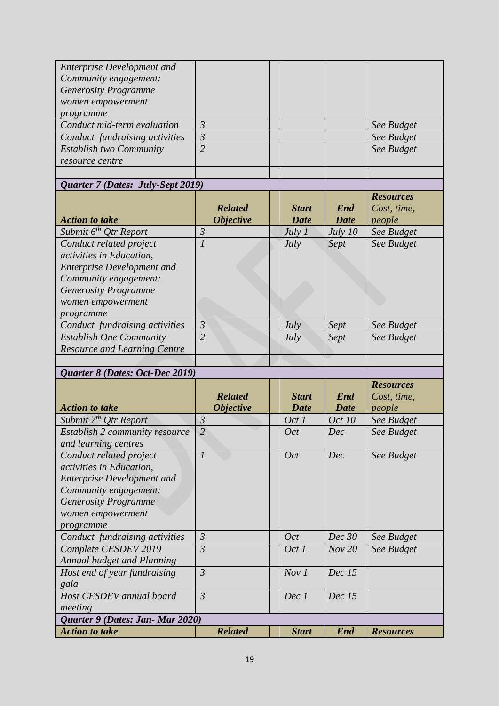| <b>Enterprise Development and</b> |   |  |            |
|-----------------------------------|---|--|------------|
| Community engagement:             |   |  |            |
| <b>Generosity Programme</b>       |   |  |            |
| women empowerment                 |   |  |            |
| programme                         |   |  |            |
| Conduct mid-term evaluation       | 3 |  | See Budget |
| Conduct fundraising activities    | 3 |  | See Budget |
| <b>Establish two Community</b>    |   |  | See Budget |
| resource centre                   |   |  |            |
|                                   |   |  |            |

|  | Quarter 7 (Dates: July-Sept 2019) |  |
|--|-----------------------------------|--|
|  |                                   |  |

|                                     | <b>Related</b>   | <b>Start</b> | End         | <b>Resources</b><br>Cost, time, |
|-------------------------------------|------------------|--------------|-------------|---------------------------------|
| <b>Action to take</b>               | <b>Objective</b> | Date         | <b>Date</b> | people                          |
| Submit $6^{th}$ Qtr Report          | 3                | July 1       | July $10$   | See Budget                      |
| Conduct related project             |                  | July         | Sept        | See Budget                      |
| activities in Education.            |                  |              |             |                                 |
| <b>Enterprise Development and</b>   |                  |              |             |                                 |
| Community engagement:               |                  |              |             |                                 |
| <b>Generosity Programme</b>         |                  |              |             |                                 |
| women empowerment                   |                  |              |             |                                 |
| programme                           |                  |              |             |                                 |
| Conduct fundraising activities      | $\mathfrak{Z}$   | July         | Sept        | See Budget                      |
| <b>Establish One Community</b>      | $\overline{2}$   | July         | Sept        | See Budget                      |
| <b>Resource and Learning Centre</b> |                  |              |             |                                 |
|                                     |                  |              |             |                                 |

#### *Quarter 8 (Dates: Oct-Dec 2019)*

|                                                                                                                                                                                    | <b>Related</b>              | <b>Start</b> | End           | <b>Resources</b><br>Cost, time, |
|------------------------------------------------------------------------------------------------------------------------------------------------------------------------------------|-----------------------------|--------------|---------------|---------------------------------|
| <b>Action to take</b>                                                                                                                                                              | <i><b>Objective</b></i>     | <b>Date</b>  | <b>Date</b>   | people                          |
| Submit 7 <sup>th</sup> Otr Report                                                                                                                                                  | $\mathfrak{Z}$              | Oct 1        | <i>Oct 10</i> | See Budget                      |
| Establish 2 community resource<br>and learning centres                                                                                                                             | $\overline{2}$              | Oct          | Dec           | See Budget                      |
| Conduct related project<br>activities in Education,<br><b>Enterprise Development and</b><br>Community engagement:<br><b>Generosity Programme</b><br>women empowerment<br>programme | $\mathcal{I}_{\mathcal{I}}$ | <b>Oct</b>   | Dec           | See Budget                      |
| Conduct fundraising activities                                                                                                                                                     | $\mathfrak{Z}$              | <b>Oct</b>   | Dec 30        | See Budget                      |
| Complete CESDEV 2019<br><b>Annual budget and Planning</b>                                                                                                                          | $\mathfrak{Z}$              | Oct 1        | Nov 20        | See Budget                      |
| Host end of year fundraising<br>gala                                                                                                                                               | $\mathfrak{Z}$              | Nov1         | Dec~15        |                                 |
| Host CESDEV annual board                                                                                                                                                           | $\mathfrak{Z}$              | Dec 1        | Dec~15        |                                 |
| meeting<br>Quarter 9 (Dates: Jan-Mar 2020)                                                                                                                                         |                             |              |               |                                 |
| <b>Action to take</b>                                                                                                                                                              | <b>Related</b>              | <b>Start</b> | <b>End</b>    | <b>Resources</b>                |
|                                                                                                                                                                                    |                             |              |               |                                 |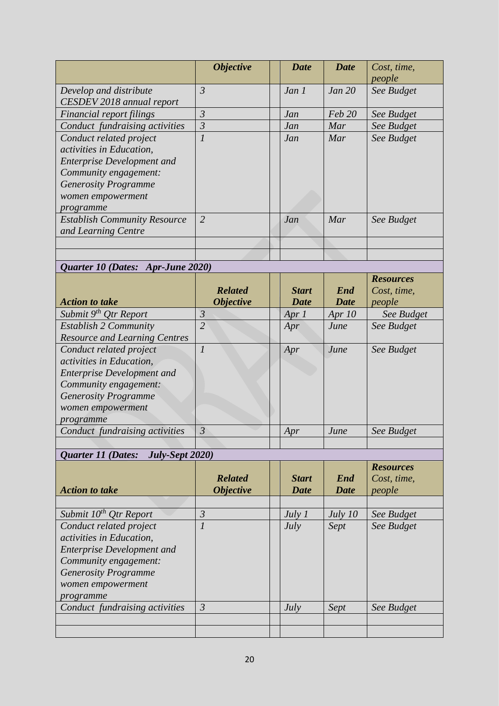|                                     | <i><b>Objective</b></i>     | <b>Date</b> | <b>Date</b> | Cost, time, |
|-------------------------------------|-----------------------------|-------------|-------------|-------------|
|                                     |                             |             |             | people      |
| Develop and distribute              | $\mathfrak{Z}$              | Jan 1       | Jan 20      | See Budget  |
| CESDEV 2018 annual report           |                             |             |             |             |
| Financial report filings            | $\mathfrak{Z}$              | Jan         | Feb 20      | See Budget  |
| Conduct fundraising activities      | $\overline{3}$              | Jan         | Mar         | See Budget  |
| Conduct related project             | $\mathcal{I}_{\mathcal{I}}$ | Jan         | Mar         | See Budget  |
| activities in Education.            |                             |             |             |             |
| <b>Enterprise Development and</b>   |                             |             |             |             |
| Community engagement:               |                             |             |             |             |
| <b>Generosity Programme</b>         |                             |             |             |             |
| women empowerment                   |                             |             |             |             |
| programme                           |                             |             |             |             |
| <b>Establish Community Resource</b> | $\overline{2}$              | Jan         | Mar         | See Budget  |
| and Learning Centre                 |                             |             |             |             |
|                                     |                             |             |             |             |
|                                     |                             |             |             |             |
| Quarter 10 (Dates: Apr-June 2020)   |                             |             |             |             |

|                                      | <b>Related</b>          | <b>Start</b> | End      | <b>Resources</b><br>Cost, time, |
|--------------------------------------|-------------------------|--------------|----------|---------------------------------|
| <b>Action to take</b>                | <i><b>Objective</b></i> | Date         | Date     | people                          |
| Submit 9 <sup>th</sup> Qtr Report    | $\mathfrak{Z}$          | Apr $1$      | Apr $10$ | See Budget                      |
| <b>Establish 2 Community</b>         | $\overline{2}$          | Apr          | June     | See Budget                      |
| <b>Resource and Learning Centres</b> |                         |              |          |                                 |
| Conduct related project              |                         | Apr          | June     | See Budget                      |
| activities in Education,             |                         |              |          |                                 |
| <b>Enterprise Development and</b>    |                         |              |          |                                 |
| Community engagement:                |                         |              |          |                                 |
| <b>Generosity Programme</b>          |                         |              |          |                                 |
| women empowerment                    |                         |              |          |                                 |
| programme                            |                         |              |          |                                 |
| Conduct fundraising activities       | $\overline{3}$          | Apr          | June     | See Budget                      |
|                                      |                         |              |          |                                 |

### *Quarter 11 (Dates: July-Sept 2020)*

| <b>Related</b><br><i><b>Objective</b></i> | <b>Start</b><br>Date | End<br><b>Date</b> | <b>Resources</b><br>Cost, time,<br>people |
|-------------------------------------------|----------------------|--------------------|-------------------------------------------|
|                                           |                      |                    |                                           |
| 3                                         | July 1               | July $10$          | See Budget                                |
| $\mathcal{I}_{\mathcal{I}}$               | July                 | Sept               | See Budget                                |
|                                           |                      |                    |                                           |
|                                           |                      |                    |                                           |
|                                           |                      |                    |                                           |
|                                           |                      |                    |                                           |
|                                           |                      |                    |                                           |
|                                           |                      |                    |                                           |
| $\mathfrak{Z}$                            | July                 | Sept               | See Budget                                |
|                                           |                      |                    |                                           |
|                                           |                      |                    |                                           |
|                                           |                      |                    |                                           |